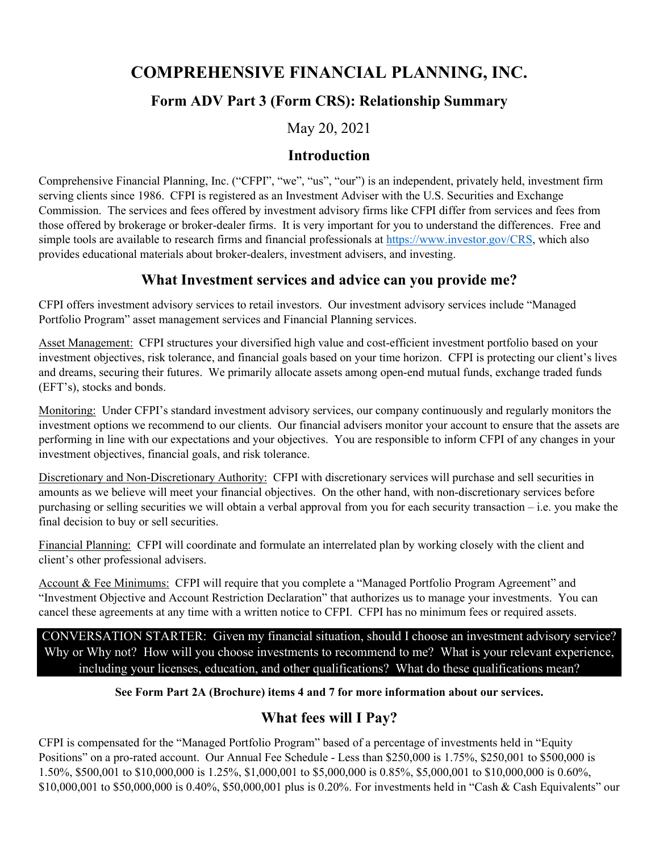# **COMPREHENSIVE FINANCIAL PLANNING, INC.**

# **Form ADV Part 3 (Form CRS): Relationship Summary**

May 20, 2021

### **Introduction**

Comprehensive Financial Planning, Inc. ("CFPI", "we", "us", "our") is an independent, privately held, investment firm serving clients since 1986. CFPI is registered as an Investment Adviser with the U.S. Securities and Exchange Commission. The services and fees offered by investment advisory firms like CFPI differ from services and fees from those offered by brokerage or broker-dealer firms. It is very important for you to understand the differences. Free and simple tools are available to research firms and financial professionals at [https://www.investor.gov/CRS,](https://www.investor.gov/CRS) which also provides educational materials about broker-dealers, investment advisers, and investing.

## **What Investment services and advice can you provide me?**

CFPI offers investment advisory services to retail investors. Our investment advisory services include "Managed Portfolio Program" asset management services and Financial Planning services.

Asset Management: CFPI structures your diversified high value and cost-efficient investment portfolio based on your investment objectives, risk tolerance, and financial goals based on your time horizon. CFPI is protecting our client's lives and dreams, securing their futures. We primarily allocate assets among open-end mutual funds, exchange traded funds (EFT's), stocks and bonds.

Monitoring: Under CFPI's standard investment advisory services, our company continuously and regularly monitors the investment options we recommend to our clients. Our financial advisers monitor your account to ensure that the assets are performing in line with our expectations and your objectives. You are responsible to inform CFPI of any changes in your investment objectives, financial goals, and risk tolerance.

Discretionary and Non-Discretionary Authority: CFPI with discretionary services will purchase and sell securities in amounts as we believe will meet your financial objectives. On the other hand, with non-discretionary services before purchasing or selling securities we will obtain a verbal approval from you for each security transaction – i.e. you make the final decision to buy or sell securities.

Financial Planning: CFPI will coordinate and formulate an interrelated plan by working closely with the client and client's other professional advisers.

Account & Fee Minimums: CFPI will require that you complete a "Managed Portfolio Program Agreement" and "Investment Objective and Account Restriction Declaration" that authorizes us to manage your investments. You can cancel these agreements at any time with a written notice to CFPI. CFPI has no minimum fees or required assets.

CONVERSATION STARTER: Given my financial situation, should I choose an investment advisory service? Why or Why not? How will you choose investments to recommend to me? What is your relevant experience, including your licenses, education, and other qualifications? What do these qualifications mean?

### **See Form Part 2A (Brochure) items 4 and 7 for more information about our services.**

# **What fees will I Pay?**

CFPI is compensated for the "Managed Portfolio Program" based of a percentage of investments held in "Equity Positions" on a pro-rated account. Our Annual Fee Schedule - Less than \$250,000 is 1.75%, \$250,001 to \$500,000 is 1.50%, \$500,001 to \$10,000,000 is 1.25%, \$1,000,001 to \$5,000,000 is 0.85%, \$5,000,001 to \$10,000,000 is 0.60%, \$10,000,001 to \$50,000,000 is 0.40%, \$50,000,001 plus is 0.20%. For investments held in "Cash & Cash Equivalents" our